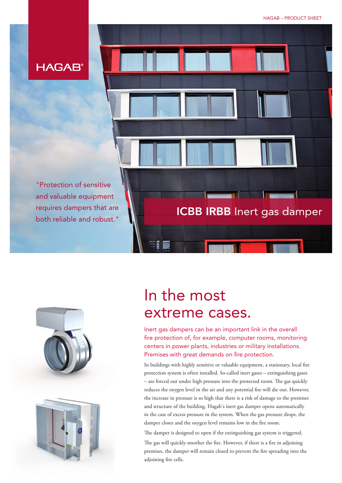

"Protection of sensitive and valuable equipment requires dampers that are both reliable and robust."





# In the most extreme cases.

Inert gas dampers can be an important link in the overall fire protection of, for example, computer rooms, monitoring centers in power plants, industries or military installations. Premises with great demands on fire protection.

ICBB IRBB Inert gas damper

In buildings with highly sensitive or valuable equipment, a stationary, local fire protection system is often installed. So-called inert gases – extinguishing gases – are forced out under high pressure into the protected room. The gas quickly reduces the oxygen level in the air and any potential fire will die out. However, the increase in pressure is so high that there is a risk of damage to the premises and structure of the building. Hagab's inert gas damper opens automatically in the case of excess pressure in the system. When the gas pressure drops, the damper closes and the oxygen level remains low in the fire room.

The damper is designed to open if the extinguishing gas system is triggered.

The gas will quickly smother the fire. However, if there is a fire in adjoining premises, the damper will remain closed to prevent the fire spreading into the adjoining fire cells.